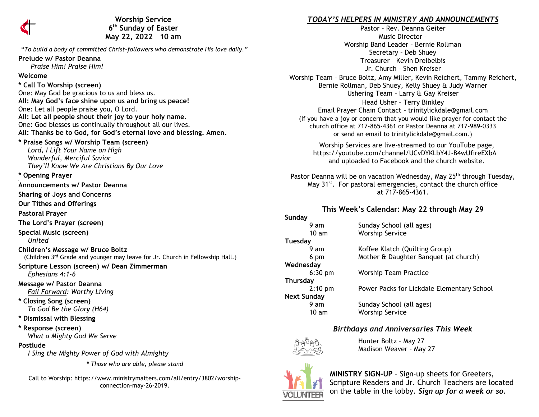

**Worship Service 6 th Sunday of Easter May 22, 2022 10 am** 

"*To build a body of committed Christ-followers who demonstrate His love daily."*

#### **Prelude w/ Pastor Deanna**

 *Praise Him! Praise Him!*

#### **Welcome**

**\* Call To Worship (screen)** One: May God be gracious to us and bless us. **All: May God's face shine upon us and bring us peace!** One: Let all people praise you, O Lord. **All: Let all people shout their joy to your holy name.** One: God blesses us continually throughout all our lives. **All: Thanks be to God, for God's eternal love and blessing. Amen. \* Praise Songs w/ Worship Team (screen)**  *Lord, I Lift Your Name on High Wonderful, Merciful Savior They'll Know We Are Christians By Our Love* **\* Opening Prayer Announcements w/ Pastor Deanna Sharing of Joys and Concerns Our Tithes and Offerings Pastoral Prayer The Lord's Prayer (screen) Special Music (screen)** 

*United*

**Children's Message w/ Bruce Boltz** (Children 3rd Grade and younger may leave for Jr. Church in Fellowship Hall.)

#### **Scripture Lesson (screen) w/ Dean Zimmerman** *Ephesians 4:1-6*

**Message w/ Pastor Deanna**  *Fail Forward: Worthy Living*

**\* Closing Song (screen)**  *To God Be the Glory (H64)*

**\* Dismissal with Blessing**

**\* Response (screen)**   *What a Mighty God We Serve*

## **Postlude**

*I Sing the Mighty Power of God with Almighty*

*\* Those who are able, please stand*

Call to Worship: https://www.ministrymatters.com/all/entry/3802/worshipconnection-may-26-2019.

## *TODAY'S HELPERS IN MINISTRY AND ANNOUNCEMENTS*

Pastor – Rev. Deanna Geiter Music Director – Worship Band Leader – Bernie Rollman Secretary – Deb Shuey Treasurer – Kevin Dreibelbis Jr. Church – Shen Kreiser Worship Team – Bruce Boltz, Amy Miller, Kevin Reichert, Tammy Reichert, Bernie Rollman, Deb Shuey, Kelly Shuey & Judy Warner Ushering Team - Larry & Gay Kreiser

Head Usher – Terry Binkley Email Prayer Chain Contact – [trinitylickdale@gmail.com](mailto:trinitylickdale@gmail.com) (If you have a joy or concern that you would like prayer for contact the church office at 717-865-4361 or Pastor Deanna at 717-989-0333 or send an email to trinitylickdale@gmail.com.)

Worship Services are live-streamed to our YouTube page, <https://youtube.com/channel/UCvDYKLbY4J-B4wUfireEXbA> and uploaded to Facebook and the church website.

Pastor Deanna will be on vacation Wednesday, May 25<sup>th</sup> through Tuesday, May 31<sup>st</sup>. For pastoral emergencies, contact the church office at 717-865-4361.

# **This Week's Calendar: May 22 through May 29**

#### **Sunday**<br>9 am Sunday School (all ages) 10 am Worship Service **Tuesday** 9 am Koffee Klatch (Quilting Group) 6 pm Mother & Daughter Banquet (at church) **Wednesday** 6:30 pm Worship Team Practice **Thursday** 2:10 pm Power Packs for Lickdale Elementary School **Next Sunday** 9 am Sunday School (all ages) 10 am Worship Service

# *Birthdays and Anniversaries This Week*



Hunter Boltz – May 27 Madison Weaver – May 27



**MINISTRY SIGN-UP** – Sign-up sheets for Greeters, Scripture Readers and Jr. Church Teachers are located on the table in the lobby. *Sign up for a week or so.*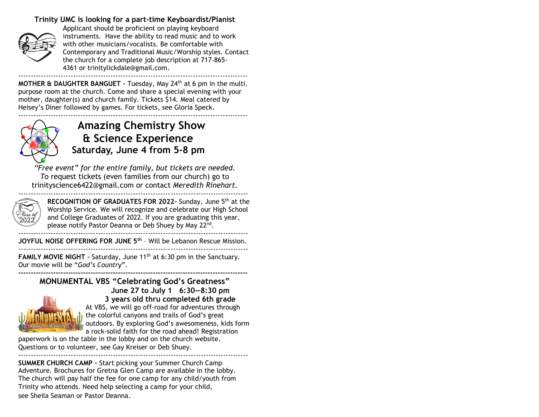## **Trinity UMC is looking for a part-time Keyboardist/Pianist**



Applicant should be proficient on playing keyboard instruments. Have the ability to read music and to work with other musicians/vocalists. Be comfortable with Contemporary and Traditional Music/Worship styles. Contact the church for a complete job description at 717-865- 4361 or [trinitylickdale@gmail.com.](mailto:trinitylickdale@gmail.com) --------------------------------------------------------------------------------------------

**MOTHER & DAUGHTER BANGUET -** Tuesday, May 24th at 6 pm in the multi. purpose room at the church. Come and share a special evening with your mother, daughter(s) and church family. Tickets \$14. Meal catered by Heisey's Diner followed by games. For tickets, see Gloria Speck. --------------------------------------------------------------------------------------------



# **Amazing Chemistry Show & Science Experience Saturday, June 4 from 5-8 pm**

*"Free event" for the entire family, but tickets are needed. T*o request tickets (even families from our church) go to [trinityscience6422@gmail.com](mailto:trinityscience6422@gmail.com) or contact *Meredith Rinehart.*

--------------------------------------------------------------------------------------------



**RECOGNITION OF GRADUATES FOR 2022-** Sunday, June 5th at the Worship Service. We will recognize and celebrate our High School and College Graduates of 2022. If you are graduating this year, please notify Pastor Deanna or Deb Shuey by May 22<sup>nd</sup>. --------------------------------------------------------------------------------------------

**JOYFUL NOISE OFFERING FOR JUNE 5th** – Will be Lebanon Rescue Mission.

-------------------------------------------------------------------------------------------- **FAMILY MOVIE NIGHT** - Saturday, June 11<sup>th</sup> at 6:30 pm in the Sanctuary. Our movie will be "*God's Country*".

**-------------------------------------------------------------------------------------------- MONUMENTAL VBS "Celebrating God's Greatness" June 27 to July 1 6:30—8:30 pm**



**3 years old thru completed 6th grade** At VBS, we will go off-road for adventures through the colorful canyons and trails of God's great

outdoors. By exploring God's awesomeness, kids form a rock-solid faith for the road ahead! Registration

paperwork is on the table in the lobby and on the church website. Questions or to volunteer, see Gay Kreiser or Deb Shuey. --------------------------------------------------------------------------------------------

**SUMMER CHURCH CAMP -** Start picking your Summer Church Camp Adventure. Brochures for Gretna Glen Camp are available in the lobby. The church will pay half the fee for one camp for any child/youth from Trinity who attends. Need help selecting a camp for your child, see Sheila Seaman or Pastor Deanna.